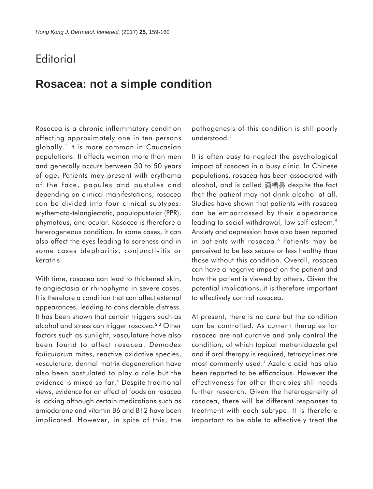## **Editorial**

## **Rosacea: not a simple condition**

Rosacea is a chronic inflammatory condition affecting approximately one in ten persons globally.1 It is more common in Caucasian populations. It affects women more than men and generally occurs between 30 to 50 years of age. Patients may present with erythema of the face, papules and pustules and depending on clinical manifestations, rosacea can be divided into four clinical subtypes: erythemato-telangiectatic, papulopustular (PPR), phymatous, and ocular. Rosacea is therefore a heterogeneous condition. In some cases, it can also affect the eyes leading to soreness and in some cases blepharitis, conjunctivitis or keratitis.

With time, rosacea can lead to thickened skin, telangiectasia or rhinophyma in severe cases. It is therefore a condition that can affect external appearances, leading to considerable distress. It has been shown that certain triggers such as alcohol and stress can trigger rosacea.2,3 Other factors such as sunlight, vasculature have also been found to affect rosacea. *Demodex folliculorum* mites, reactive oxidative species, vasculature, dermal matrix degeneration have also been postulated to play a role but the evidence is mixed so far.4 Despite traditional views, evidence for an effect of foods on rosacea is lacking although certain medications such as amiodarone and vitamin B6 and B12 have been implicated. However, in spite of this, the

pathogenesis of this condition is still poorly understood.4

It is often easy to neglect the psychological impact of rosacea in a busy clinic. In Chinese populations, rosacea has been associated with alcohol, and is called 酒糟鼻 despite the fact that the patient may not drink alcohol at all. Studies have shown that patients with rosacea can be embarrassed by their appearance leading to social withdrawal, low self-esteem.<sup>5</sup> Anxiety and depression have also been reported in patients with rosacea.<sup>6</sup> Patients may be perceived to be less secure or less healthy than those without this condition. Overall, rosacea can have a negative impact on the patient and how the patient is viewed by others. Given the potential implications, it is therefore important to effectively control rosacea.

At present, there is no cure but the condition can be controlled. As current therapies for rosacea are not curative and only control the condition, of which topical metronidazole gel and if oral therapy is required, tetracyclines are most commonly used.7 Azelaic acid has also been reported to be efficacious. However the effectiveness for other therapies still needs further research. Given the heterogeneity of rosacea, there will be different responses to treatment with each subtype. It is therefore important to be able to effectively treat the